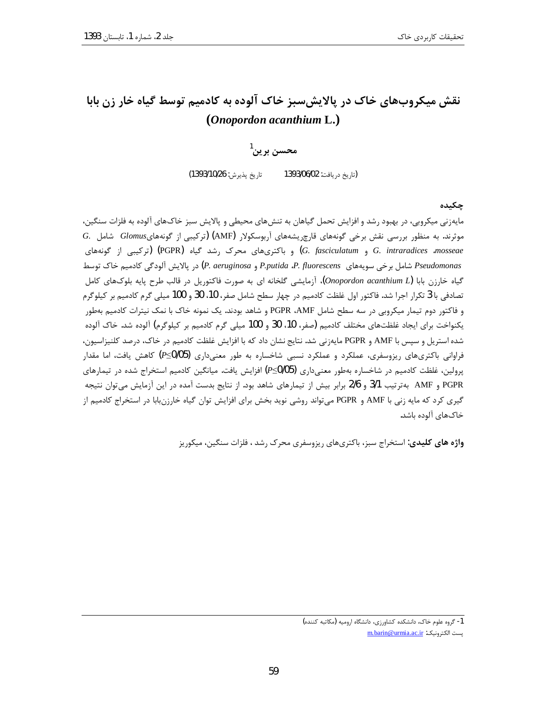# نقش میکروبهای خاک در پالایش سبز خاک آلوده به کادمیم توسط گیاه خار زن بابا (Onopordon acanthium L.)

# $^{1}$ محسن بر بن

تاريخ پذيرش: 1393/10/26) (تاريخ دريافت: 1393/06/02

چکیده

مایهزنی میکرویی، در بهبود رشد و افزایش تحمل گیاهان به تنش۵های محیطی و پالایش سبز خاکهای آلوده به فلزات سنگین،  $G$ . موثرند. به منظور بررسی نقش برخی گونههای قارچ یشههای آربوسکولار (AMF) (ترکیبی از گونههایGlomus شامل) و باکتریهای محرک رشد گیاه (PGPR) (FGPR) و باکتری های محرک رشد گیاه) (PGPR) و PGPR) (ترکیبی از گونههای Pseudomonas شامل برخی سویههای P. fluorescens و P. aeruginosa) در پالایش آلودگی کادمیم خاک توسط گیاه خارزن بابا (Onopordon acanthium L)، آزمایشی گلخانه ای به صورت فاکتوریل در قالب طرح پایه بلوکهای کامل تصادفي با 3 تكرار اجرا شد. فاكتور اول غلظت كادميم در چهار سطح شامل صفر، 10، 30 و 100 ميلي گرم كادميم بر كيلوگرم و فاكتور دوم تيمار ميكروبي در سه سطح شامل PGPR ،AMF و شاهد بودند. يک نمونه خاک با نمک نيترات كادميم بهطور يكنواخت براي ايجاد غلظتهاي مختلف كادميم (صفر، 10، 30 و 100 ميلي گرم كادميم بر كيلوگرم) آلوده شد. خاک آلوده شده استریل و سپس با AMF و PGPR مایهزنی شد. نتایج نشان داد که با افزایش غلظت کادمیم در خاک، درصد کلنیزاسیون، فراوانی باکتریهای ریزوسفری، عملکرد و عملکرد نسبی شاخساره به طور معنیداری (P≤0/05) کاهش یافت، اما مقدار پرولین، غلظت کادمیم در شاخساره بهطور معنیداری (P≤0/05) افزایش یافت. میانگین کادمیم استخراج شده در تیمارهای PGPR و AMF بهترتيب 3/1 و 2/6 برابر بيش از تيمارهاي شاهد بود. از نتايج بدست آمده در اين آزمايش مي توان نتيجه گیری کرد که مایه زنی با AMF و PGPR میتواند روشی نوید بخش برای افزایش توان گیاه خارزنبابا در استخراج کادمیم از خاکهای آلوده باشد.

واژه های کلیدی: استخراج سبز، باکتریهای ریزوسفری محرک رشد ، فلزات سنگین، میکوریز

<sup>1-</sup> گروه علوم خاک، دانشکده کشاورزی، دانشگاه ارومیه (مکاتبه کننده) يست الكترونيك: m.barin@urmia.ac.ir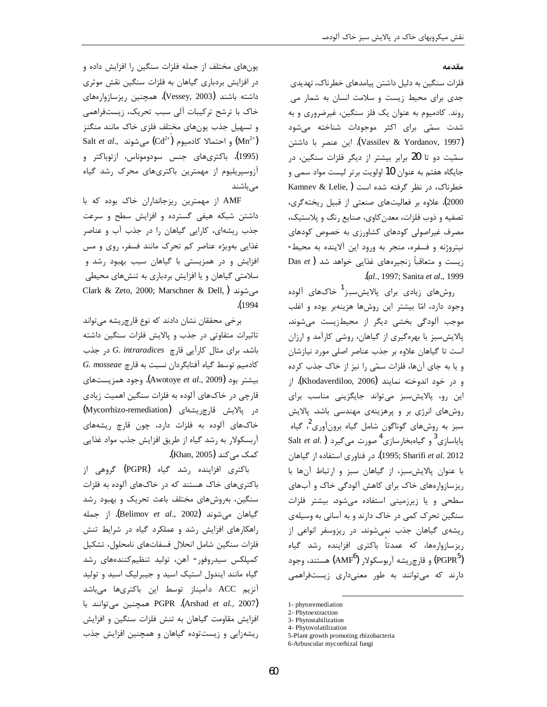#### مقدمه

فلزات سنگین به دلیل داشتن پیامدهای خطرناک، تهدیدی جدی برای محیط زیست و سلامت انسان به شمار می روند. کادمیوم به عنوان یک فلز سنگین، غیرضروری و به شدت سمّی برای اکثر موجودات شناخته میشود (Vassilev & Yordanov, 1997). این عنصر با داشتن سمّیت دو تا 20 برابر بیشتر از دیگر فلزات سنگین، در جایگاه هفتم به عنوان 10 اولویت برتر لیست مواد سمی و خطرناک، در نظر گرفته شده است (Kamnev & Lelie, 2000). علاوه بر فعالیتهای صنعتی از قبیل ریختهگری، تصفیه و ذوب فلزات، معدن کاوی، صنایع رنگ و پلاستیک، مصرف غیراصولی کودهای کشاورزی به خصوص کودهای نيتروژنه و فسفره، منجر به ورود اين آلاينده به محيط-Das  $et$  ) زیست و متعاقباً زنجیرههای غذایی خواهد شد .(al., 1997; Sanita et al., 1999

روشهای زیادی برای پالایشسبز<sup>1</sup> خاکـهای آلوده وجود دارد، امّا بیشتر این روشها هزینهبر بوده و اغلب موجب آلودگی بخشی دیگر از محیطزیست می شوند. پالایش سبز با بهرهگیری از گیاهان، روشی کارآمد و ارزان است تا گیاهان علاوه بر جذب عناصر اصلی مورد نیازشان و یا به جای آنها، فلزات سمّی را نیز از خاک جذب کرده و در خود اندوخته نمایند (Khodaverdiloo, 2006). از این رو، پالایش سبز می تواند جایگزینی مناسب برای روشهای انرژی بر و پرهزینهی مهندسی باشد. پالایش سبز به روشهای گوناگون شامل گیاه برونآوری<sup>2</sup>، گیاه پایاسازی<sup>3</sup> و گیاهبخارسازی<sup>4</sup> صورت میگیرد ( .Salt *et al* 1995; Sharifi et al. 2012). در فناوري استفاده از گياهان با عنوان پالایش سبز، از گیاهان سبز و ارتباط آنها با ریزسازوارههای خاک برای کاهش آلودگی خاک و آبهای سطحی و یا زیرزمینی استفاده میشود. بیشتر فلزات سنگین تحرک کمی در خاک دارند و به آسانی به وسیلهی ریشهی گیاهان جذب نمیشوند. در ریزوسفر انواعی از ریزسازوارهها، که عمدتا باکتری افزاینده رشد گیاه (PGPR<sup>5</sup>) و قارچ<sub>ز</sub>یشه آربوسکولار (AMF<sup>6</sup>) هستند، وجود دارند که می توانند به طور معنیداری زیستفراهمی

یونهای مختلف از جمله فلزات سنگین را افزایش داده و در افزایش بردباری گیاهان به فلزات سنگین نقش موثری داشته باشند (Vessey, 2003). همچنین ریزسازوارههای خاک با ترشح ترکیبات آلی سبب تحریک، زیستفراهمی و تسهیل جذب یونهای مختلف فلزی خاک مانند منگنز Salt et al., و احتمالا كادميوم  $\left(\text{Cd}^{2+}\right)$  می شوند  $\left(\text{Mn}^{2+}\right)$ (1995). باكترىهاى جنس سودوموناس، ازتوباكتر و آزوسپریلیوم از مهمترین باکتریهای محرک رشد گیاه می باشند

AMF از مهمترین ریزجانداران خاک بوده که با داشتن شبکه هیفی گسترده و افزایش سطح و سرعت جذب ریشهای، کارایی گیاهان را در جذب آب و عناصر غذایی بهویژه عناصر کم تحرک مانند فسفر، روی و مس افزایش و در همزیستی با گیاهان سبب بهبود رشد و سلامتی گیاهان و یا افزایش بردباری به تنشهای محیطی Clark & Zeto, 2000; Marschner & Dell, ) می شوند  $(1994$ 

برخی محققان نشان دادند که نوع قارچ ریشه می تواند تاثیرات متفاوتی در جذب و پالایش فلزات سنگین داشته باشد. برای مثال کارآیی قارچ G. intraradices در جذب G. mosseae كادميم توسط گياه آفتابگردان نسبت به قارچ بیشتر بود (Awotoye *et al.*, 2009). وجود همزیستهای قارچی در خاکهای آلوده به فلزات سنگین اهمیت زیادی در پالایش قارچریشهای (Mycorrhizo-remediation) خاکهای آلوده به فلزات دارد، چون قارچ ریشههای آربسکولار به رشد گیاه از طریق افزایش جذب مواد غذایی کمک می کند (Khan, 2005).

باکتری افزاینده رشد گیاه (PGPR) گروهی از باکتریهای خاک هستند که در خاکهای آلوده به فلزات سنگین، بهروشهای مختلف باعث تحریک و بهبود رشد گياهان مي شوند (Belimov *et al.*, 2002). از جمله راهکارهای افزایش رشد و عملکرد گیاه در شرایط تنش فلزات سنگين شامل انحلال فسفاتهاى نامحلول، تشكيل كمپلكس سيدروفور- آهن، توليد تنظيمكنندههاى رشد گیاه مانند ایندول استیک اسید و جیبرلیک اسید و تولید آنزیم ACC دآمیناز توسط این باکتریها میباشد PGPR .(Arshad et al., 2007). PGPR افزایش مقاومت گیاهان به تنش فلزات سنگین و افزایش ریشهزایی و زیستتوده گیاهان و همچنین افزایش جذب

<sup>1-</sup> phytoremediation 2- Phytoextraction

<sup>3-</sup> Phytostabilization

<sup>4-</sup> Phytovolatilization

<sup>5-</sup>Plant growth promoting rhizobacteria

<sup>6-</sup>Arbuscular mycorrhizal fungi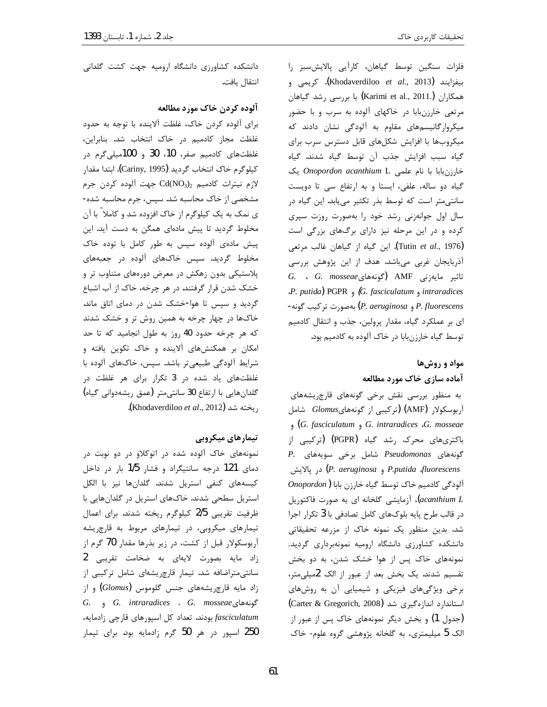فلزات سنگین توسط گیاهان، کارآیی پالایش سبز را بيفزايند (Khodaverdiloo et al., 2013**)**. كريمي و همکاران (Karimi et al., 2011.**)** با بررسی رشد گیاهان مرتعی خارزنبابا در خاکهای آلوده به سرب و با حضور میکروارگانیسمهای مقاوم به آلودگی نشان دادند که میکروبها با افزایش شکلهای قابل دسترس سرب برای گیاه سبب افزایش جذب آن توسط گیاه شدند. گیاه خارزنبابا با نام علمی Onopordon acanthium L یک گیاه دو ساله، علفی، ایستا و به ارتفاع سی تا دویست سانتی متر است که توسط بذر تکثیر می یابد. این گیاه در سال اول جوانهزنی رشد خود را بهصورت روزت سپری کرده و در این مرحله نیز دارای برگهای بزرگی است (Tutin et al., 1976). این گیاه از گیاهان غالب مرتعی آذربایجان غربی میباشد. هدف از این پژوهش بررسی  $G.$  G.  $mosseae$  تاثیر مایهزنی AMF (گونههای J. putida) PGPR  $\circ$  (G. fasciculatum  $\circ$  intraradices P. fluorescens و P. aeruginosa) بهصورت تركيب گونه-ای بر عملکرد گیاه، مقدار پرولین، جذب و انتقال کادمیم توسط گیاه خارزنبابا در خاک آلوده به کادمیم بود.

# مواد و روشها آماده سازي خاک مورد مطالعه

به منظور بررسی نقش برخی گونههای قارچ ریشههای آربوسکولار (AMF) (ترکیبی از گونههایGlomus شامل  $\mathcal G$ . fasciculatum  $\mathcal G$ . intraradices  $G$ . mosseae باکتریهای محرک رشد گیاه (PGPR) (ترکیبی از P. گونههای *Pseudomonas* شامل برخی سویههای در پالايش (P. aeruginosa و P. putida  $fluorescens$  $\emph{Onopordon}$ ) آلودگی کادمیم خاک توسط گیاه خارزن بابا acanthium L)، آزمایشی گلخانه ای به صورت فاکتوریل در قالب طرح پایه بلوکهای کامل تصادفی با 3 تکرار اجرا شد. بدین منظور یک نمونه خاک از مزرعه تحقیقاتی دانشکده کشاورزی دانشگاه ارومیه نمونهبرداری گردید. نمونههای خاک پس از هوا خشک شدن، به دو بخش تقسیم شدند. یک بخش بعد از عبور از الک 2میلی متر، برخی ویژگیهای فیزیکی و شیمیایی آن به روشهای استاندارد اندازهگیری شد (Carter & Gregorich, 2008) (جدول 1) و بخش دیگر نمونههای خاک پس از عبور از الک 5 میلیمتری، به گلخانه پژوهشی گروه علوم- خاک

دانشکده کشاورزی دانشگاه ارومیه جهت کشت گلدانی انتقال يافت.

### آلوده كردن خاك مورد مطالعه

برای آلوده کردن خاک، غلظت آلاینده با توجه به حدود غلظت مجاز كادميم در خاك انتخاب شد. بنابراين، غلظتهای کادمیم صفر، 10، 30 و 100میلی گرم در كيلوگرم خاک انتخاب گرديد (Cariny, 1995). ابتدا مقدار لازم نيترات كادميم  $\mathrm{Cd}(\mathrm{NO}_3)_2$  جهت آلوده كردن جرم مشخصی از خاک محاسبه شد. سپس، جرم محاسبه شده-ی نمک به یک کیلوگرم از خاک افزوده شد و کاملا ً با آن مخلوط گردید تا پیش مادهای همگن به دست آید. این پیش مادهی آلوده سپس به طور کامل با توده خاک مخلوط گردید. سپس خاکهای آلوده در جعبههای پلاستیکی بدون زهکش در معرض دورههای متناوب تر و خشک شدن قرار گرفتند. در هر چرخه، خاک از آب اشباع گردید و سپس تا هوا-خشک شدن در دمای اتاق ماند. خاکها در چهار چرخه به همین روش تر و خشک شدند که هر چرخه حدود 40 روز به طول انجامید که تا حد امکان بر همکنشهای آلاینده و خاک تکوین یافته و شرایط آلودگی طبیعیتر باشد. سپس، خاکهای آلوده با غلظتهای یاد شده در 3 تکرار برای هر غلظت در گلدانهایی با ارتفاع 30 سانتی متر (عمق ریشهدوانی گیاه) ريخته شد (Khodaverdiloo et al., 2012).

### تیمارهای میکروبی

نمونههای خاک آلوده شده در اتوکلاو در دو نوبت در دمای 121 درجه سانتیگراد و فشار 1/5 بار در داخل کیسههای کنفی استریل شدند. گلدانها نیز با الکل استریل سطحی شدند. خاکهای استریل در گلدانهایی با ظرفیت تقریبی 2/5 کیلوگرم ریخته شدند. برای اعمال تیمارهای میکروبی، در تیمارهای مربوط به قارچ یشه آربوسکولار قبل از کشت، در زیر بذرها مقدار 70 گرم از زاد مايه بصورت لايهاى به ضخامت تقريبي 2 سانتی متراضافه شد. تیمار قارچ ریشهای شامل ترکیبی از زاد مایه قارچریشههای جنس گلوموس (Glomus) و از G. intraradices . G. mosseae و G. j fasciculatum بودند. تعداد كل اسپورهاى قارچى زادمايه، 250 اسپور در هر 50 گرم زادمایه بود. برای تیمار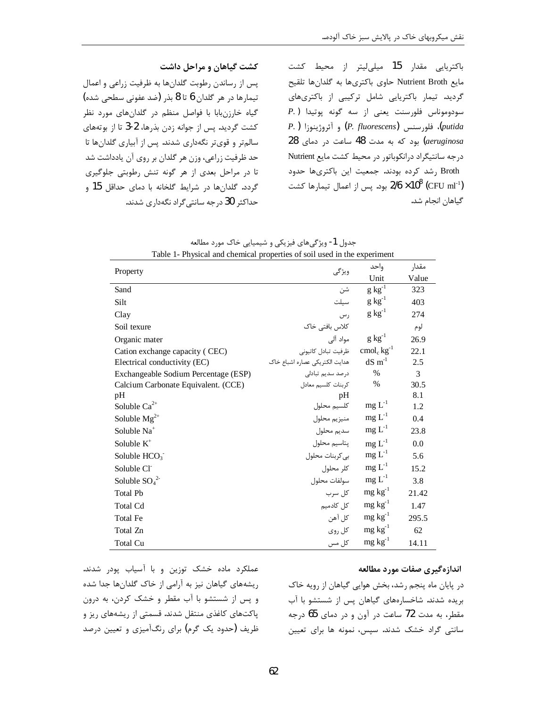باکتریایی مقدار 15 میلی لیتر از محیط کشت مايع Nutrient Broth حاوى باكترىها به گلدانها تلقيح گردید. تیمار باکتریایی شامل ترکیبی از باکتریهای P.) سودوموناس فلورسنت يعنى از سه گونه پوتيدا putida)، فلورسنس (P. fluorescens) و آئروژينوزا ( P. ) aeruginosa) بود که به مدت 48 ساعت در دمای 28 درجه سانتیگراد درانکوباتور در محیط کشت مایع Nutrient Broth رشد کرده بودند. جمعیت این باکتریها حدود بود. پس از اعمال تيمارها كشت 2/6 × 10 $^8$  (CFU ml<sup>-1</sup>) گیاهان انجام شد.

| Table 1- Physical and chemical properties of soil used in the experiment |                                                           |                 |       |  |
|--------------------------------------------------------------------------|-----------------------------------------------------------|-----------------|-------|--|
| Property                                                                 |                                                           | واحد            | مقدار |  |
|                                                                          | ويژگى                                                     | Unit            | Value |  |
| Sand                                                                     | شن                                                        | $g kg^{-1}$     | 323   |  |
| Silt                                                                     | سيلت                                                      | $g\ kg^{-1}$    | 403   |  |
| Clay                                                                     | ر س                                                       | $g kg^{-1}$     | 274   |  |
| Soil texure                                                              | كلاس بافتى خاک                                            |                 | لوم   |  |
| Organic mater                                                            | مواد آلی                                                  | $g kg^{-1}$     | 26.9  |  |
| Cation exchange capacity (CEC)                                           | ظرفيت تبادل كاتيونى $\;{\rm cmol}_{\rm c}\,{\rm kg}^{-1}$ |                 | 22.1  |  |
| Electrical conductivity (EC)                                             | هدايت الكتريكي عصاره اشباع خاك                            | $dS \, m-1$     | 2.5   |  |
| Exchangeable Sodium Percentage (ESP)                                     | درصد سدیم تبادلی                                          | $\%$            | 3     |  |
| Calcium Carbonate Equivalent. (CCE)                                      | كرينات كلسيم معادل                                        | $\%$            | 30.5  |  |
| pH                                                                       | pH                                                        |                 | 8.1   |  |
| Soluble $Ca^{2+}$                                                        | كلسيم محلول                                               | $mg L-1$        | 1.2   |  |
| Soluble $Mg^{2+}$                                                        | منيزيم محلول                                              | $mg L^{-1}$     | 0.4   |  |
| Soluble Na <sup>+</sup>                                                  | سديم محلول                                                | $mg L^{-1}$     | 23.8  |  |
| Soluble $K^+$                                                            | پتاسيم محلول                                              | $mg L^{-1}$     | 0.0   |  |
| Soluble $HCO3$                                                           | بي كربنات محلول                                           | $mg L^{-1}$     | 5.6   |  |
| Soluble CI                                                               | كلر محلول                                                 | $mg L^{-1}$     | 15.2  |  |
| Soluble $SO_4^2$                                                         | سولفات محلول                                              | $mg L^{-1}$     | 3.8   |  |
| <b>Total Pb</b>                                                          | کل سرب                                                    | $mg \, kg^{-1}$ | 21.42 |  |
| <b>Total Cd</b>                                                          | کل کادمیم                                                 | $mg \, kg^{-1}$ | 1.47  |  |
| <b>Total Fe</b>                                                          | کل آهن                                                    | $mg \, kg^{-1}$ | 295.5 |  |
| Total Zn                                                                 | کل روی                                                    | $mg \, kg^{-1}$ | 62    |  |
| <b>Total Cu</b>                                                          | کل مس                                                     | $mg \, kg^{-1}$ | 14.11 |  |

جدول 1- ویژگیهای فیزیکی و شیمیایی خاک مورد مطالعه

کشت گیاهان و مراحل داشت

پس از رساندن رطوبت گلدانها به ظرفیت زراعی و اعمال تيمارها در هر گلدان 6 تا 8 بذر (ضد عفونی سطحی شده)

گیاه خارزنبابا با فواصل منظم در گلدانهای مورد نظر

كشت گرديد. پس از جوانه زدن بذرها، 2-3 تا از بوتههاى سالم تر و قوی تر نگهداری شدند. پس از آبیاری گلدانها تا

حد ظرفیت زراعی، وزن هر گلدان بر روی آن یادداشت شد

تا در مراحل بعدی از هر گونه تنش رطوبتی جلوگیری

گردد. گلدانها در شرایط گلخانه با دمای حداقل 15 و

حداکثر 30 درجه سانتی گراد نگهداری شدند.

عملکرد ماده خشک توزین و با آسیاب پودر شدند. ریشههای گیاهان نیز به آرامی از خاک گلدانها جدا شده و پس از شستشو با آب مقطر و خشک کردن، به درون یاکتهای کاغذی منتقل شدند. قسمتی از ریشههای ریز و ظریف (حدود یک گرم) برای رنگآمیزی و تعیین درصد

#### اندازهگیری صفات مورد مطالعه

در پایان ماه پنجم رشد، بخش هوایی گیاهان از رویه خاک بریده شدند. شاخسارههای گیاهان پس از شستشو با آب مقطر، به مدت 72 ساعت در آون و در دمای 65 درجه سانتی گراد خشک شدند. سیس، نمونه ها برای تعیین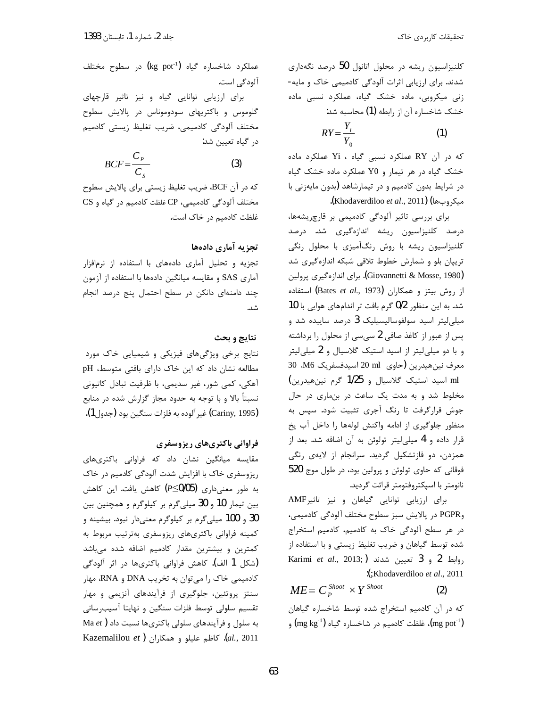کلنیزاسیون ریشه در محلول اتانول 50 درصد نگهداری شدند. برای ارزیابی اثرات آلودگی کادمیمی خاک و مایه-زنی میکروبی، ماده خشک گیاه، عملکرد نسبی ماده خشک شاخساره آن از رابطه (1) محاسبه شد:

$$
RY = \frac{Y_i}{Y_0} \tag{1}
$$

که در آن RY عملکرد نسبی گیاه ، Yi عملکرد ماده خشک گیاه در هر تیمار و Y0 عملکرد ماده خشک گیاه در شرایط بدون کادمیم و در تیمارشاهد (بدون مایهزنی با ميكروبها) (Khodaverdiloo et al., 2011).

برای بررسی تاثیر آلودگی کادمیمی بر قارچ ریشهها، درصد کلنیزاسیون ریشه اندازهگیری شد. درصد کلنیزاسیون ریشه با روش رنگآمیزی با محلول رنگی تریپان بلو و شمارش خطوط تلاقی شبکه اندازهگیری شد (Giovannetti & Mosse, 1980). براي اندازهگيري پرولين از روش بیتز و همکاران (Bates et al., 1973) استفاده شد. به این منظور 0/2 گرم بافت تر اندامهای هوایی با 10 میلی لیتر اسید سولفوسالیسیلیک 3 درصد ساییده شد و پس از عبور از کاغذ صافی 2 سی سی از محلول را برداشته و با دو میلی لیتر از اسید استیک گلاسیال و 2 میلی لیتر معرف نين هيدرين (حاوي ml 20 اسيدفسفريک M6. 30 . ml اسید استیک گلاسیال و 1/25 گرم نین هیدرین) مخلوط شد و به مدت یک ساعت در بنماری در حال جوش قرارگرفت تا رنگ آجری تثبیت شود. سپس به منظور جلوگیری از ادامه واکنش لولهها را داخل آب یخ قرار داده و 4 میلی لیتر تولوئن به آن اضافه شد. بعد از همزدن، دو فازتشکیل گردید. سرانجام از لایهی رنگی فوقاني که حاوي تولوئن و پرولين بود، در طول موج 520 نانومتر با اسپكتروفتومتر قرائت گرديد.

برای ارزیابی توانایی گیاهان و نیز تاثیرAMF وPGPR در پالایش سبز سطوح مختلف آلودگی کادمیمی، در هر سطح آلودگی خاک به کادمیم، کادمیم استخراج شده توسط گیاهان و ضریب تغلیظ زیستی و با استفاده از Karimi et al., 2013;) روابط 2 و 3 تعيين شدند :(;Khodaverdiloo et al., 2011

 $ME = C_p^{Show} \times Y^{Show}$  $(2)$ 

که در آن کادمیم استخراج شده توسط شاخساره گیاهان فلظت کادمیم در شاخساره گیاه (1 $\rm (mg~kg^{-1})$  و (1

عملکرد شاخساره گیاه (kg pot<sup>-1</sup>) در سطوح مختلف آلودگے است.

برای ارزیابی توانایی گیاه و نیز تاثیر قارچهای گلوموس و باکتریهای سودوموناس در پالایش سطوح مختلف آلودگی کادمیمی، ضریب تغلیظ زیستی کادمیم در گیاه تعیین شد:

$$
BCF = \frac{C_P}{C_S} \tag{3}
$$

كه در آن BCF، ضريب تغليظ زيستي براي پالايش سطوح CS مختلف آلودگی کادمیمی، CP غلظت کادمیم در گیاه و غلظت کادمیم در خاک است.

### تجزيه آماري دادهها

تجزیه و تحلیل آماری دادههای با استفاده از نرمافزار آماری SAS و مقایسه میانگین دادهها با استفاده از آزمون چند دامنهای دانکن در سطح احتمال پنج درصد انجام شد.

#### نتايج و بحث

نتایج برخی ویژگیهای فیزیکی و شیمیایی خاک مورد مطالعه نشان داد که این خاک دارای بافتی متوسط، pH آهكي، كمي شور، غير سديمي، با ظرفيت تبادل كاتيوني نسبتاً بالا و با توجه به حدود مجاز گزارش شده در منابع (Cariny, 1995) غير آلوده به فلزات سنگين بود (جدول1).

### فراوانی باکتریهای ریزوسفری

مقایسه میانگین نشان داد که فراوانی باکتریهای ریزوسفری خاک با افزایش شدت آلودگی کادمیم در خاک به طور معنیداری (P≤0/05) کاهش یافت. این کاهش بین تیمار 10 و 30 میلیگرم بر کیلوگرم و همچنین بین 30 و 100 میلیگرم بر کیلوگرم معنیدار نبود. بیشینه و كمينه فراواني باكترىهاى ريزوسفرى بهترتيب مربوط به کمترین و بیشترین مقدار کادمیم اضافه شده میباشد (شکل 1 الف). کاهش فراوانی باکتریها در اثر آلودگی کادمیمی خاک را می توان به تخریب DNA و RNA، مهار سنتز پروتئین، جلوگیری از فرآیندهای آنزیمی و مهار تقسیم سلولی توسط فلزات سنگین و نهایتا آسیب رسانی به سلول و فرآیندهای سلولی باکتریها نسبت داد ( Ma et Kazemalilou et). كاظم عليلو و همكاران  $(al., 2011)$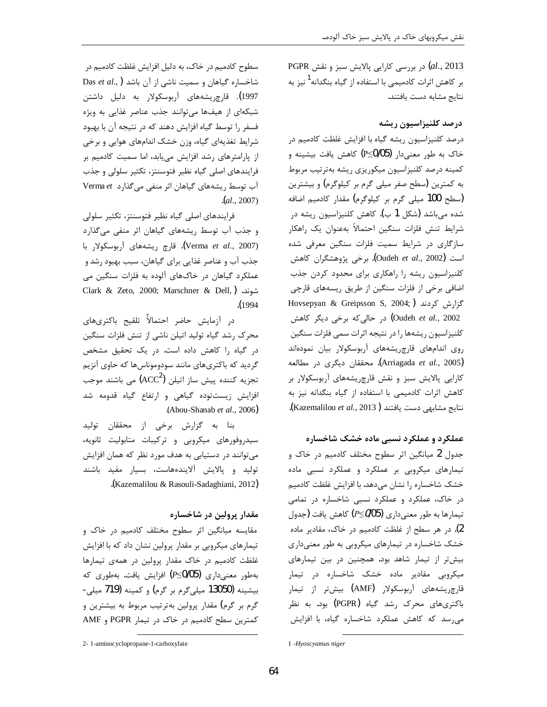2013 ,el., 2013) در بررسی کارایی پالایش سبز و نقش بر کاهش اثرات کادمیمی با استفاده از گیاه بنگدانه<sup>1</sup> نیز به نتايج مشابه دست يافتند.

### درصد کلنیزاسیون ریشه

درصد کلنیزاسیون ریشه گیاه با افزایش غلظت کادمیم در خاک به طور معنیدار (P≤0/05) کاهش یافت بیشینه و كمينه درصد كلنيزاسيون ميكوريزي ريشه بهترتيب مربوط به کمترین (سطح صفر میلی گرم بر کیلوگرم) و بیشترین (سطح 100 میلی گرم بر کیلوگرم) مقدار کادمیم اضافه شده می،باشد (شکل 1 ب). کاهش کلنیزاسیون ریشه در شرايط تنش فلزات سنگين احتمالاً بهعنوان يک راهکار سازگاری در شرایط سمیت فلزات سنگین معرفی شده است (Oudeh et al., 2002). برخی پژوهشگران کاهش کلنیزاسیون ریشه را راهکاری برای محدود کردن جذب اضافی برخی از فلزات سنگین از طریق ریسههای قارچی Hovsepyan & Greipsson S, 2004;) گزارش کردند Oudeh et al., 2002) در حالی که برخی دیگر کاهش كلنيزاسيون ريشهها را در نتيجه اثرات سمى فلزات سنگين روی اندامهای قارچ یشههای آربوسکولار بیان نمودهاند (Arriagada *et al*., 2005). محققان دیگری در مطالعه کارایی پالایش سبز و نقش قارچریشههای آربوسکولار بر کاهش اثرات کادمیمی با استفاده از گیاه بنگدانه نیز به نتايج مشابهي دست يافتند (Kazemalilou et al., 2013).

عملکرد و عملکرد نسبی ماده خشک شاخساره

جدول 2 میانگین اثر سطوح مختلف کادمیم در خاک و تیمارهای میکروبی بر عملکرد و عملکرد نسبی ماده خشک شاخساره را نشان میدهد. با افزایش غلظت کادمیم در خاک، عملکرد و عملکرد نسبی شاخساره در تمامی تیمارها به طور معنیداری (P≤005) کاهش یافت (جدول 2). در هر سطح از غلظت کادمیم در خاک، مقادیر ماده خشک شاخساره در تیمارهای میکروبی به طور معنیداری بیشتر از تیمار شاهد بود. همچنین در بین تیمارهای میکروبی مقادیر ماده خشک شاخساره در تیمار قارچریشههای آربوسکولار (AMF) بیشتر از تیمار باکتریهای محرک رشد گیاه (PGPR) بود. به نظر می,رسد که کاهش عملکرد شاخساره گیاه، با افزایش

سطوح کادمیم در خاک، به دلیل افزایش غلظت کادمیم در Das et al., ) اشد (به سمیت ناشی از آن باشد 1997**)**. قا<sub>ر</sub>چ<sub>ر</sub>یشەھای آ<sub>ر</sub>بوسکولا<sub>ر</sub> به دلیل داشتن شبکهای از هیفها می توانند جذب عناصر غذایی به ویژه فسفر را توسط گیاه افزایش دهند که در نتیجه آن با بهبود شرایط تغذیهای گیاه، وزن خشک اندامهای هوایی و برخی از پارامترهای رشد افزایش می یابد، اما سمیت کادمیم بر فرایندهای اصلی گیاه نظیر فتوسنتز، تکثیر سلولی و جذب آب توسط ریشههای گیاهان اثر منفی می گذارد Verma et  $(a1., 2007)$ 

فرایندهای اصلی گیاه نظیر فتوسنتز، تکثیر سلولی و جذب آب توسط ریشههای گیاهان اثر منفی میگذارد (Verma et al., 2007). قارچ ریشههای آربوسکولار با جذب آب و عناصر غذایی برای گیاهان، سبب بهبود رشد و عملکرد گیاهان در خاکهای آلوده به فلزات سنگین می Clark & Zeto, 2000; Marschner & Dell,) شوند.  $(1994$ 

در آزمایش حاضر احتمالاًً تلقیح باکتریهای محرک رشد گیاه تولید اتیلن ناشی از تنش فلزات سنگین در گیاه را کاهش داده است. در یک تحقیق مشخص گردید که باکتریهای مانند سودوموناسها که حاوی آنزیم تجزیه کننده پیش ساز اتیلن (ACC<sup>2</sup>) می باشند موجب افزایش زیستتوده گیاهی و ارتفاع گیاه قدومه شد .(Abou-Shanab et al., 2006)

بنا به گزارش برخی از محققان تولید سیدروفورهای میکروبی و ترکیبات متابولیت ثانویه، می توانند در دستیابی به هدف مورد نظر که همان افزایش تولید و پالایش آلایندههاست، بسیار مفید باشند .(Kazemalilou & Rasouli-Sadaghiani, 2012).

مقدار پرولین در شاخساره

مقایسه میانگین اثر سطوح مختلف کادمیم در خاک و تیمارهای میکروبی بر مقدار پرولین نشان داد که با افزایش غلظت کادمیم در خاک مقدار پرولین در همهی تیمارها بهطور معنیداری (P≤0/05) افزایش یافت. بهطوری که بیشینه (13050 میلی گرم بر گرم) و کمینه (719 میلی-گرم بر گرم) مقدار پرولین بهترتیب مربوط به بیشترین و کمترین سطح کادمیم در خاک در تیمار PGPR و AMF

<sup>1 -</sup>Hyoscyamus niger

<sup>2-1-</sup>aminocyclopropane-1-carboxylate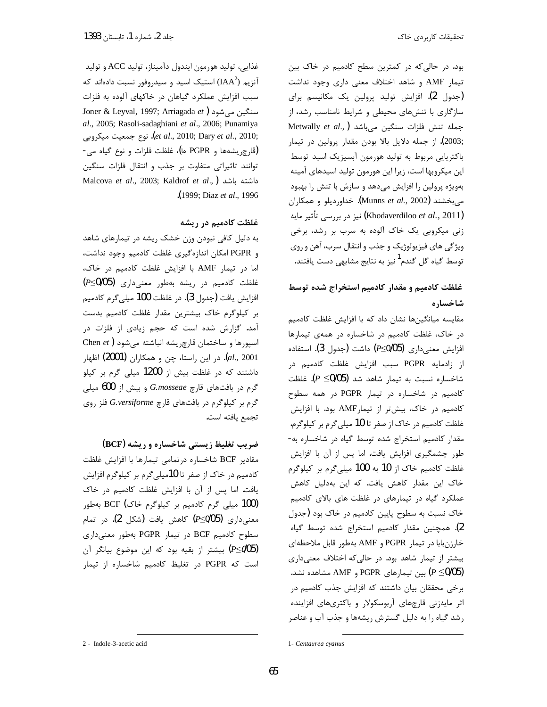بود. در حالی که در کمترین سطح کادمیم در خاک بین تیمار AMF و شاهد اختلاف معنی داری وجود نداشت (جدول 2). افزایش تولید پرولین یک مکانیسم برای سازگاری با تنشهای محیطی و شرایط نامناسب رشد، از Metwally et al., ) جمله تنش فلزات سنگین میباشد ;2003). از جمله دلایل بالا بودن مقدار پرولین در تیمار باکتریایی مربوط به تولید هورمون آبسیزیک اسید توسط این میکروبها است، زیرا این هورمون تولید اسیدهای آمینه بهویژه پرولین را افزایش می دهد و سازش با تنش را بهبود میبخشند (Munns et al., 2002). خداوردیلو و همکاران (Khodaverdiloo et al., 2011) نيز در بررسي تأثير مايه زنی میکروبی یک خاک آلوده به سرب بر رشد، برخی ویژگی های فیزیولوژیک و جذب و انتقال سرب، آهن و روی توسط گیاه گل گندم<sup>1</sup>نیز به نتایج مشابه<sub>ی</sub> دست یافتند.

# غلظت كادميم و مقدار كادميم استخراج شده توسط شاخساره

مقایسه میانگینها نشان داد که با افزایش غلظت کادمیم در خاک، غلظت کادمیم در شاخساره در همهی تیمارها افزایش معنیداری (P≤0/05) داشت (جدول 3). استفاده از زادمايه PGPR سبب افزايش غلظت كادميم در شاخساره نسبت به تیمار شاهد شد (P  $\leq$ 0/05). غلظت کادمیم در شاخساره در تیمار PGPR در همه سطوح کادمیم در خاک، بیش تر از تیمارAMF بود. با افزایش غلظت کادمیم در خاک از صفر تا 10 میلی گرم بر کیلوگرم، مقدار كادميم استخراج شده توسط گياه در شاخساره به-طور چشمگیری افزایش یافت. اما پس از آن با افزایش غلظت کادمیم خاک از 10 به 100 میلیگرم بر کیلوگرم خاک این مقدار کاهش یافت. که این بهدلیل کاهش عملکرد گیاه در تیمارهای در غلظت های بالای کادمیم خاک نسبت به سطوح پایین کادمیم در خاک بود (جدول 2). همچنین مقدار کادمیم استخراج شده توسط گیاه خارزنبابا در تيمار PGPR و AMF بهطور قابل ملاحظهاي بیشتر از تیمار شاهد بود. در حالی که اختلاف معنیداری (P ≤0/05) بین تیمارهای PGPR و AMF مشاهده نشد. برخی محققان بیان داشتند که افزایش جذب کادمیم در اثر مایهزنی قارچهای آربوسکولار و باکتریهای افزاینده رشد گیاه را به دلیل گسترش ریشهها و جذب آب و عناصر

غذايي، توليد هورمون ايندول دآميناز، توليد ACC و توليد آنزیم (IAA $^2$ ) استیک اسید و سیدروفور نسبت دادهاند که سبب افزایش عملکرد گیاهان در خاکهای آلوده به فلزات Joner & Leyval, 1997; Arriagada et ) سنگين مي شود al., 2005; Rasoli-sadaghiani et al., 2006; Punamiya et al., 2010; Dary et al., 2010;). نوع جمعيت ميكروبي (قارچریشهها و PGPR ها)، غلظت فلزات و نوع گیاه می-توانند تاثیراتی متفاوت بر جذب و انتقال فلزات سنگین Malcova et al., 2003; Kaldrof et al., ) داشته باشد .(1999; Diaz et al., 1996).

#### غلظت کادمیم در ریشه

به دلیل کافی نبودن وزن خشک ریشه در تیمارهای شاهد و PGPR امكان اندازهگیری غلظت كادمیم وجود نداشت، اما در تیمار AMF با افزایش غلظت کادمیم در خاک، غلظت کادمیم در ریشه بهطور معنیداری (P≤0/05) افزايش يافت (جدول 3). در غلظت 100 ميلي گرم كادميم بر کیلوگرم خاک بیشترین مقدار غلظت کادمیم بدست آمد. گزارش شده است که حجم زیادی از فلزات در Ohen et) اسپورها و ساختمان قارچ ریشه انباشته می شود *al.*, 2001). در این راستا، چن و همکاران **(2001)** اظهار داشتند که در غلظت بیش از 1200 میلی گرم بر کیلو گرم در بافتهای قارچ G.mosseae و بیش از 600 میلی گرم بر کیلوگرم در بافتهای قارچ G.versiforme فلز روی تجمع يافته است.

ضریب تغلیظ زیستی شاخساره و ریشه (BCF) مقادیر BCF شاخساره درتمامی تیمارها با افزایش غلظت کادمیم در خاک از صفر تا 10میلی گرم بر کیلوگرم افزایش یافت. اما پس از آن با افزایش غلظت کادمیم در خاک (100 میلی گرم کادمیم بر کیلوگرم خاک) BCF بهطور معنیٍداری (95/05) کاهش یافت (شکل 2). در تمام سطوح کادمیم BCF در تیمار PGPR بهطور معنیداری (P≤005) بیشتر از بقیه بود که این موضوع بیانگر آن است که PGPR در تغلیظ کادمیم شاخساره از تیمار

<sup>2 -</sup> Indole-3-acetic acid

<sup>1-</sup> Centaurea cyanus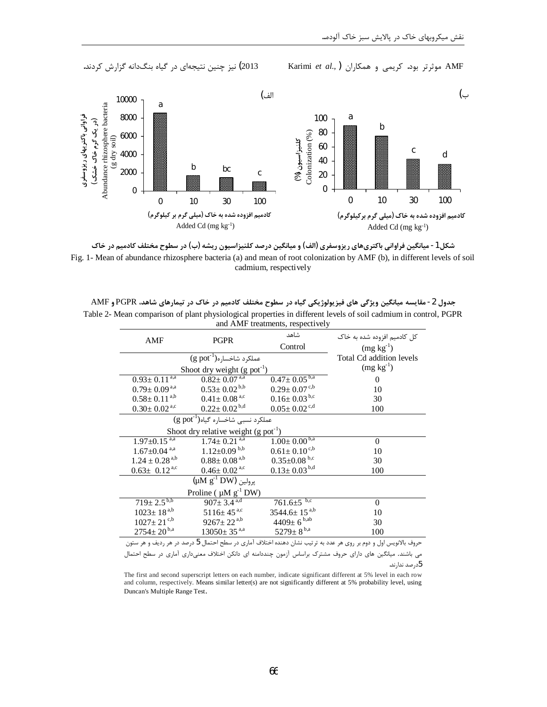```
2013) نیز چنین نتیجهای در گیاه بنگدانه گزارش کردند.
```
Karimi et al., ) موثرتر بود. كريمي و همكاران (,Karimi et al



شکل 1- میانگین فراوانی باکتریهای ریزوسفری (الف) و میانگین درصد کلنیزاسیون ریشه (ب) در سطوح مختلف کادمیم در خاک Fig. 1- Mean of abundance rhizosphere bacteria (a) and mean of root colonization by AMF (b), in different levels of soil cadmium, respectively

جدول 2- مقایسه میانگین ویژگی های فیزیولوژیکی گیاه در سطوح مختلف کادمیم در خاک در تیمارهای شاهد، PGPR و AMF Table 2- Mean comparison of plant physiological properties in different levels of soil cadmium in control, PGPR and AMF treatments, respectively

| AMF<br><b>PGPR</b>                                                                                              | شاهد                                               | کل کادمیم افزوده شده به خاک    |                          |  |
|-----------------------------------------------------------------------------------------------------------------|----------------------------------------------------|--------------------------------|--------------------------|--|
|                                                                                                                 |                                                    | Control                        | $(mg kg^{-1})$           |  |
|                                                                                                                 | عملكرد شاخساره(' g pot)                            |                                | Total Cd addition levels |  |
|                                                                                                                 | Shoot dry weight $(g$ pot <sup>-1</sup> )          |                                | $(mg kg^{-1})$           |  |
| $0.93 \pm 0.11^{a,\overline{a}}$                                                                                | $0.82 \pm 0.07^{a,a}$                              | $0.47 \pm 0.05^{b,a}$          | $\overline{0}$           |  |
| $0.79 \pm 0.09^{a,a}$                                                                                           | $0.53 \pm 0.02^{b,b}$                              | $0.29 \pm 0.07$ <sup>c,b</sup> | 10                       |  |
| $0.58 \pm 0.11^{a,b}$                                                                                           | $0.41 \pm 0.08$ <sup>a,c</sup>                     | $0.16 \pm 0.03$ <sup>b,c</sup> | 30                       |  |
| $0.30 \pm 0.02$ <sup>a,c</sup>                                                                                  | $0.22 \pm 0.02^{b,d}$                              | $0.05 \pm 0.02$ <sup>c,d</sup> | 100                      |  |
| $\overline{(\text{g pot}^1)}$ عملکرد نسبی شاخساره گیاه                                                          |                                                    |                                |                          |  |
|                                                                                                                 | Shoot dry relative weight $(g$ pot <sup>-1</sup> ) |                                |                          |  |
| $1.97 \pm 0.15$ <sup>a,a</sup>                                                                                  | $1.74 \pm 0.21^{a,a}$                              | $1.00 \pm 0.00^{b,a}$          | $\theta$                 |  |
| $1.67 \pm 0.04$ <sup>a,a</sup>                                                                                  | $1.12 \pm 0.09$ b,b                                | $0.61 \pm 0.10^{c,b}$          | 10                       |  |
| $1.24 \pm 0.28$ <sup>a,b</sup>                                                                                  | $0.88 \pm 0.08^{a,b}$                              | $0.35 \pm 0.08$ b,c            | 30                       |  |
| $0.63 \pm 0.12^{a,c}$                                                                                           | $0.46 \pm 0.02$ <sup>a,c</sup>                     | $0.13 \pm 0.03^{b,d}$          | 100                      |  |
| $(\mu M g^{-1}DW)$ پرولين                                                                                       |                                                    |                                |                          |  |
|                                                                                                                 | Proline ( $\mu$ M $g^{-1}$ DW)                     |                                |                          |  |
| $719 \pm 2.5^{b,b}$                                                                                             | $907 \pm 3.4$ <sup>a,d</sup>                       | b,c<br>$761.6 \pm 5$           | $\overline{0}$           |  |
| $1023 \pm 18^{a,b}$                                                                                             | $5116 \pm 45$ <sup>a,c</sup>                       | 3544.6 $\pm$ 15 <sup>a,b</sup> | 10                       |  |
| $1027\pm21^{\mathrm{c,b}}$                                                                                      | $9267 \pm 22^{a,b}$                                | $4409 \pm 6^{b,ab}$            | 30                       |  |
| $2754 \pm 20^{b,a}$                                                                                             | $13050 \pm 35$ <sup>a,a</sup>                      | 5279 $\pm$ 8 <sup>b,a</sup>    | 100                      |  |
| حاوف بالإنويس اول و دوم بي وي هر عدد به تا تبت نشان دهنده اختلاف آماري د. سطح احتمال 5 درصد د. هي ديف و هر ستون |                                                    |                                |                          |  |

می باشند. میانگین های دارای حروف مشترک براساس آزمون چنددامنه ای دانکن اختلاف معنیداری آماری در سطح احتمال

5درصد ندارند.

The first and second superscript letters on each number, indicate significant different at 5% level in each row and column, respectively. Means similar letter(s) are not significantly different at 5% probability level, using Duncan's Multiple Range Test.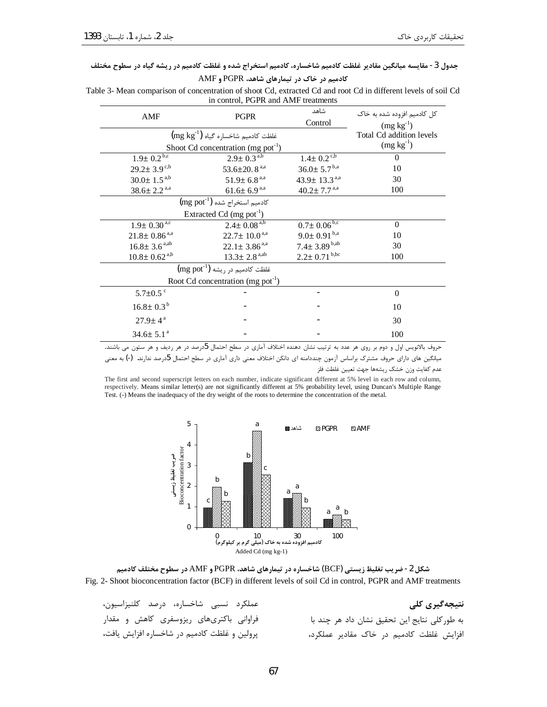#### جدول 3- مقایسه میانگین مقادیر غلظت کادمیم شاخساره، کادمیم استخراج شده و غلظت کادمیم در ریشه گیاه در سطوح مختلف

کادمیم در خاک در تیمارهای شاهد، PGPR و AMF

Table 3- Mean comparison of concentration of shoot Cd, extracted Cd and root Cd in different levels of soil Cd in control, PGPR and AMF treatments

| <b>PGPR</b><br>AMF                                  | شاهد                           | کل کادمیم افزوده شده به خاک     |                          |  |  |
|-----------------------------------------------------|--------------------------------|---------------------------------|--------------------------|--|--|
|                                                     |                                | Control                         | $(mg kg^{-1})$           |  |  |
| $\rm (mg\ kg^{\text{-}1})$ غلظت کادمیم شاخساره گیاه |                                |                                 | Total Cd addition levels |  |  |
| Shoot Cd concentration (mg pot <sup>-1</sup> )      |                                |                                 | $(mg kg-1)$              |  |  |
| $1.9 \pm 0.2^{b,c}$                                 | $2.9 \pm 0.3^{a,b}$            | $1.4 \pm 0.2$ <sup>c,b</sup>    | $\Omega$                 |  |  |
| $29.2 \pm 3.9$ <sup>c,b</sup>                       | 53.6 $\pm$ 20.8 <sup>a,a</sup> | $36.0 \pm 5.7^{b,a}$            | 10                       |  |  |
| $30.0 \pm 1.5^{a,b}$                                | $51.9 \pm 6.8$ <sup>a,a</sup>  | 43.9 $\pm$ 13.3 <sup>a,a</sup>  | 30                       |  |  |
| $38.6 \pm 2.2$ <sup>a,a</sup>                       | $61.6 \pm 6.9^{a,a}$           | $40.2 \pm 7.7$ <sup>a,a</sup>   | 100                      |  |  |
| كادميم استخراج شده (11g pot)                        |                                |                                 |                          |  |  |
| Extracted Cd (mg pot <sup>-1</sup> )                |                                |                                 |                          |  |  |
| $1.9 \pm 0.30^{4,c}$                                | $2.4 \pm 0.08^{a,b}$           | $0.7 \pm 0.06^{\rm b,c}$        | $\Omega$                 |  |  |
| $21.8 \pm 0.86$ <sup>a,a</sup>                      | $22.7 \pm 10.0^{a,a}$          | $9.0 \pm 0.91^{b,a}$            | 10                       |  |  |
| $16.8 \pm 3.6$ <sup>a,ab</sup>                      | $22.1 \pm 3.86^{a,a}$          | $7.4 \pm 3.89^{\mathrm{b, ab}}$ | 30                       |  |  |
| $10.8 \pm 0.62$ <sup>a,b</sup>                      | $13.3 \pm 2.8$ <sup>a,ab</sup> | $2.2 \pm 0.71$ <sup>b,bc</sup>  | 100                      |  |  |
| $\rm (mg\; pot^{-1})$ غلظت کادمیم در ریشه           |                                |                                 |                          |  |  |
| Root Cd concentration (mg pot <sup>-1</sup> )       |                                |                                 |                          |  |  |
| 5.7 $\pm$ 0.5 $\degree$                             |                                |                                 | $\Omega$                 |  |  |
| $16.8 \pm 0.3^{\mathrm{b}}$                         |                                |                                 | 10                       |  |  |
| $27.9 \pm 4^{\text{ a}}$                            |                                |                                 | 30                       |  |  |
| $34.6 \pm 5.1$ <sup>a</sup>                         |                                |                                 | 100                      |  |  |

حروف بالانویس اول و دوم بر روی هر عدد به ترتیب نشان دهنده اختلاف آماری در سطح احتمال 5درصد در هر ردیف و هر ستون می باشند. میانگین های دارای حروف مشترک براساس آزمون چنددامنه ای دانکن اختلاف معنی داری آماری در سطح احتمال 5درصد ندارند. (-) به معنی

عدم كفايت وزن خشك ريشهها جهت تعيين غلظت فلز

The first and second superscript letters on each number, indicate significant different at 5% level in each row and column, respectively. Means similar letter(s) are not significantly different at 5% probability level, using Duncan's Multiple Range Test. (-) Means the inadequacy of the dry weight of the roots to determine the concentration of the metal.





| عملكرد نسبي شاخساره، درصد كلنيزاسيون،        | نتیجەگیری کلی                                 |
|----------------------------------------------|-----------------------------------------------|
| فراوانی باکتریهای ریزوسفری کاهش و مقدار      | به طور كلى نتايج اين تحقيق نشان داد هر چند با |
| پرولین و غلظت کادمیم در شاخساره افزایش یافت، | افزایش غلظت کادمیم در خاک مقادیر عملکرد،      |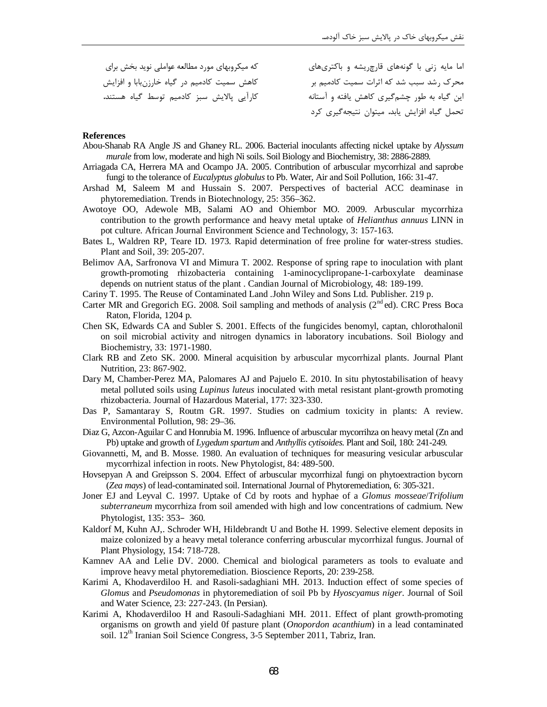که میکروبهای مورد مطالعه عواملی نوید بخش برای کاهش سمیت کادمیم در گیاه خارزنبابا و افزایش كارآيي پالايش سبز كادميم توسط گياه هستند. اما مایه زنی با گونههای قارچ یشه و باکتریهای محرک رشد سبب شد که اثرات سمیت کادمیم بر این گیاه به طور چشمگیری کاهش یافته و آستانه تحمل گیاه افزایش یابد. میتوان نتیجهگیری کرد

#### **References**

- Abou-Shanab RA Angle JS and Ghaney RL. 2006. Bacterial inoculants affecting nickel uptake by Alyssum murale from low, moderate and high Ni soils. Soil Biology and Biochemistry, 38: 2886-2889.
- Arriagada CA, Herrera MA and Ocampo JA. 2005. Contribution of arbuscular mycorrhizal and saprobe fungi to the tolerance of *Eucalyptus globulus* to Pb. Water, Air and Soil Pollution, 166: 31-47.
- Arshad M, Saleem M and Hussain S. 2007. Perspectives of bacterial ACC deaminase in phytoremediation. Trends in Biotechnology, 25: 356–362.
- Awotoye OO, Adewole MB, Salami AO and Ohiembor MO. 2009. Arbuscular mycorrhiza contribution to the growth performance and heavy metal uptake of Helianthus annuus LINN in pot culture. African Journal Environment Science and Technology, 3: 157-163.
- Bates L, Waldren RP, Teare ID. 1973. Rapid determination of free proline for water-stress studies. Plant and Soil, 39: 205-207.
- Belimov AA, Sarfronova VI and Mimura T. 2002. Response of spring rape to inoculation with plant growth-promoting rhizobacteria containing 1-aminocyclipropane-1-carboxylate deaminase depends on nutrient status of the plant. Candian Journal of Microbiology, 48: 189-199.
- Cariny T. 1995. The Reuse of Contaminated Land John Wiley and Sons Ltd. Publisher. 219 p.
- Carter MR and Gregorich EG. 2008. Soil sampling and methods of analysis (2<sup>nd</sup> ed). CRC Press Boca Raton, Florida, 1204 p.
- Chen SK, Edwards CA and Subler S. 2001. Effects of the fungicides benomyl, captan, chlorothalonil on soil microbial activity and nitrogen dynamics in laboratory incubations. Soil Biology and Biochemistry, 33: 1971-1980.
- Clark RB and Zeto SK. 2000. Mineral acquisition by arbuscular mycorrhizal plants. Journal Plant Nutrition, 23: 867-902.
- Dary M, Chamber-Perez MA, Palomares AJ and Pajuelo E. 2010. In situ phytostabilisation of heavy metal polluted soils using *Lupinus luteus* inoculated with metal resistant plant-growth promoting rhizobacteria. Journal of Hazardous Material, 177: 323-330.
- Das P, Samantaray S, Routm GR. 1997. Studies on cadmium toxicity in plants: A review. Environmental Pollution, 98: 29–36.
- Diaz G, Azcon-Aguilar C and Honrubia M. 1996. Influence of arbuscular mycorrihza on heavy metal (Zn and Pb) uptake and growth of Lygedum spartum and Anthyllis cytisoides. Plant and Soil, 180: 241-249.
- Giovannetti, M, and B. Mosse. 1980. An evaluation of techniques for measuring vesicular arbuscular mycorrhizal infection in roots. New Phytologist, 84: 489-500.
- Hovsepyan A and Greipsson S. 2004. Effect of arbuscular mycorrhizal fungi on phytoextraction bycorn (Zea mays) of lead-contaminated soil. International Journal of Phytoremediation, 6: 305-321.
- Joner EJ and Leyval C. 1997. Uptake of Cd by roots and hyphae of a Glomus mosseae/Trifolium *subterraneum* mycorrhiza from soil amended with high and low concentrations of cadmium. New Phytologist, 135: 353-360.
- Kaldorf M, Kuhn AJ,. Schroder WH, Hildebrandt U and Bothe H. 1999. Selective element deposits in maize colonized by a heavy metal tolerance conferring arbuscular mycorrhizal fungus. Journal of Plant Physiology, 154: 718-728.
- Kamney AA and Lelie DV. 2000. Chemical and biological parameters as tools to evaluate and improve heavy metal phytoremediation. Bioscience Reports, 20: 239-258.
- Karimi A, Khodaverdiloo H. and Rasoli-sadaghiani MH. 2013. Induction effect of some species of Glomus and Pseudomonas in phytoremediation of soil Pb by Hyoscyamus niger. Journal of Soil and Water Science, 23: 227-243. (In Persian).
- Karimi A, Khodaverdiloo H and Rasouli-Sadaghiani MH. 2011. Effect of plant growth-promoting organisms on growth and yield 0f pasture plant (Onopordon acanthium) in a lead contaminated soil. 12<sup>th</sup> Iranian Soil Science Congress, 3-5 September 2011, Tabriz, Iran.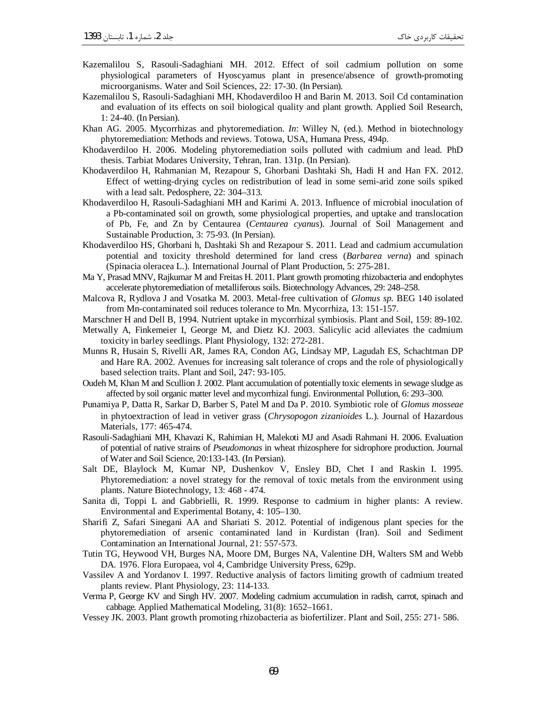- Kazemalilou S, Rasouli-Sadaghiani MH. 2012. Effect of soil cadmium pollution on some physiological parameters of Hyoscyamus plant in presence/absence of growth-promoting microorganisms. Water and Soil Sciences, 22: 17-30. (In Persian).
- Kazemalilou S, Rasouli-Sadaghiani MH, Khodaverdiloo H and Barin M. 2013. Soil Cd contamination and evaluation of its effects on soil biological quality and plant growth. Applied Soil Research, 1: 24-40. (In Persian).
- Khan AG. 2005. Mycorrhizas and phytoremediation. *In*: Willey N, (ed.). Method in biotechnology phytoremediation: Methods and reviews. Totowa, USA, Humana Press, 494p.
- Khodaverdiloo H. 2006. Modeling phytoremediation soils polluted with cadmium and lead. PhD thesis. Tarbiat Modares University, Tehran, Iran. 131p. (In Persian).
- Khodaverdiloo H, Rahmanian M, Rezapour S, Ghorbani Dashtaki Sh, Hadi H and Han FX. 2012. Effect of wetting-drying cycles on redistribution of lead in some semi-arid zone soils spiked with a lead salt. Pedosphere, 22: 304–313.
- Khodaverdiloo H, Rasouli-Sadaghiani MH and Karimi A. 2013. Influence of microbial inoculation of a Pb-contaminated soil on growth, some physiological properties, and uptake and translocation of Pb, Fe, and Zn by Centaurea (*Centaurea cyanus*). Journal of Soil Management and Sustainable Production, 3: 75-93. (In Persian).
- Khodaverdiloo HS, Ghorbani h, Dashtaki Sh and Rezapour S. 2011. Lead and cadmium accumulation potential and toxicity threshold determined for land cress (*Barbarea verna*) and spinach (Spinacia oleracea L.). International Journal of Plant Production, 5: 275-281.
- Ma Y, Prasad MNV, Rajkumar M and Freitas H. 2011. Plant growth promoting rhizobacteria and endophytes accelerate phytoremediation of metalliferous soils. Biotechnology Advances, 29: 248–258.
- Malcova R, Rydlova J and Vosatka M. 2003. Metal-free cultivation of *Glomus sp.* BEG 140 isolated from Mn-contaminated soil reduces tolerance to Mn. Mycorrhiza, 13: 151-157.
- Marschner H and Dell B, 1994. Nutrient uptake in mycorrhizal symbiosis. Plant and Soil, 159: 89-102.
- Metwally A, Finkemeier I, George M, and Dietz KJ. 2003. Salicylic acid alleviates the cadmium toxicity in barley seedlings. Plant Physiology, 132: 272-281.
- Munns R, Husain S, Rivelli AR, James RA, Condon AG, Lindsay MP, Lagudah ES, Schachtman DP and Hare RA. 2002. Avenues for increasing salt tolerance of crops and the role of physiologically based selection traits. Plant and Soil, 247: 93-105.
- Oudeh M, Khan M and Scullion J. 2002. Plant accumulation of potentially toxic elements in sewage sludge as affected by soil organic matter level and mycorrhizal fungi. Environmental Pollution, 6: 293–300.
- Punamiya P, Datta R, Sarkar D, Barber S, Patel M and Da P. 2010. Symbiotic role of *Glomus mosseae* in phytoextraction of lead in vetiver grass (*Chrysopogon zizanioides* L.). Journal of Hazardous Materials, 177: 465-474.
- Rasouli-Sadaghiani MH, Khavazi K, Rahimian H, Malekoti MJ and Asadi Rahmani H. 2006. Evaluation of potential of native strains of *Pseudomonas* in wheat rhizosphere for sidrophore production. Journal of Water and Soil Science, 20:133-143. (In Persian).
- Salt DE, Blaylock M, Kumar NP, Dushenkov V, Ensley BD, Chet I and Raskin I. 1995. Phytoremediation: a novel strategy for the removal of toxic metals from the environment using plants. Nature Biotechnology, 13: 468 - 474.
- Sanita di, Toppi L and Gabbrielli, R. 1999. Response to cadmium in higher plants: A review. Environmental and Experimental Botany, 4: 105–130.
- Sharifi Z, Safari Sinegani AA and Shariati S. 2012. Potential of indigenous plant species for the phytoremediation of arsenic contaminated land in Kurdistan (Iran). Soil and Sediment Contamination an International Journal, 21: 557-573.
- Tutin TG, Heywood VH, Burges NA, Moore DM, Burges NA, Valentine DH, Walters SM and Webb DA. 1976. Flora Europaea, vol 4, Cambridge University Press, 629p.
- Vassilev A and Yordanov I. 1997. Reductive analysis of factors limiting growth of cadmium treated plants review. Plant Physiology, 23: 114-133.
- Verma P, George KV and Singh HV. 2007. Modeling cadmium accumulation in radish, carrot, spinach and cabbage. Applied Mathematical Modeling, 31(8): 1652–1661.
- Vessey JK. 2003. Plant growth promoting rhizobacteria as biofertilizer. Plant and Soil, 255: 271- 586.